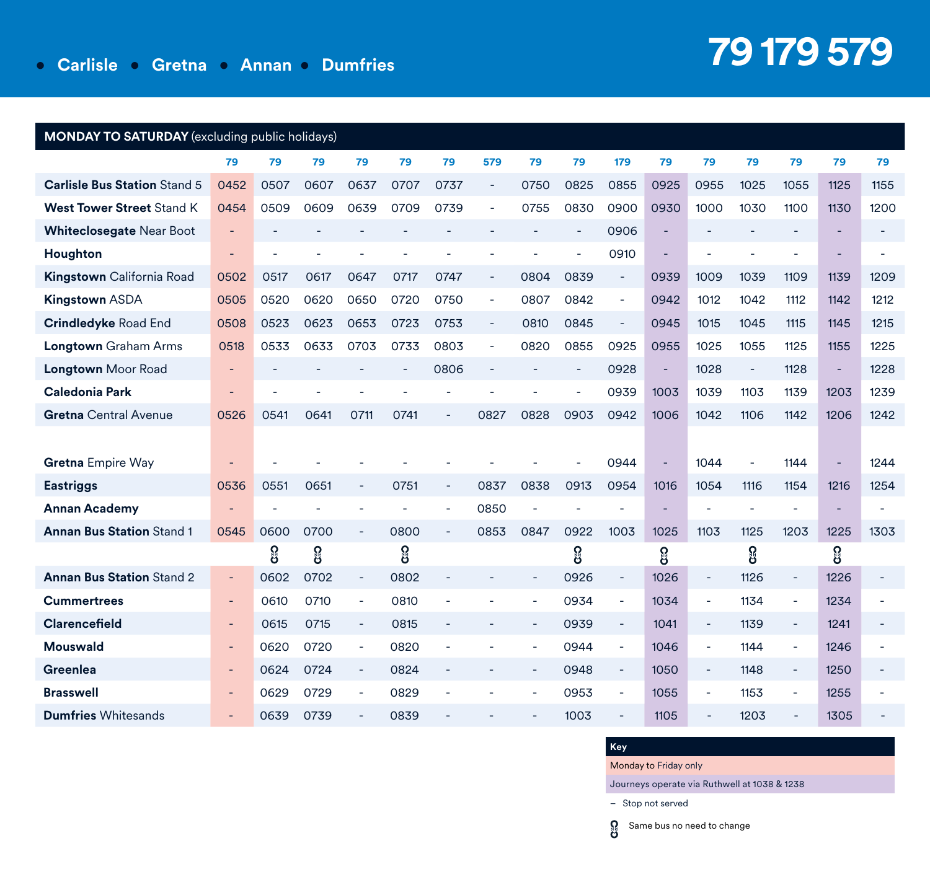| <b>MONDAY TO SATURDAY</b> (excluding public holidays) |                          |      |          |                          |      |        |                          |                          |                          |                          |      |                          |                          |                          |      |      |
|-------------------------------------------------------|--------------------------|------|----------|--------------------------|------|--------|--------------------------|--------------------------|--------------------------|--------------------------|------|--------------------------|--------------------------|--------------------------|------|------|
|                                                       | 79                       | 79   | 79       | 79                       | 79   | 79     | 579                      | 79                       | 79                       | 179                      | 79   | 79                       | 79                       | 79                       | 79   | 79   |
| <b>Carlisle Bus Station Stand 5</b>                   | 0452                     | 0507 | 0607     | 0637                     | 0707 | 0737   | $\overline{\phantom{a}}$ | 0750                     | 0825                     | 0855                     | 0925 | 0955                     | 1025                     | 1055                     | 1125 | 1155 |
| <b>West Tower Street Stand K</b>                      | 0454                     | 0509 | 0609     | 0639                     | 0709 | 0739   | L,                       | 0755                     | 0830                     | 0900                     | 0930 | 1000                     | 1030                     | 1100                     | 1130 | 1200 |
| <b>Whiteclosegate Near Boot</b>                       | ÷,                       |      | $\equiv$ |                          |      |        |                          |                          | $\overline{\phantom{a}}$ | 0906                     | ÷,   | $\overline{\phantom{a}}$ | ٠                        | $\overline{\phantom{a}}$ | ÷    |      |
| Houghton                                              | $\overline{\phantom{a}}$ |      |          |                          |      |        |                          |                          |                          | 0910                     |      |                          |                          |                          |      |      |
| Kingstown California Road                             | 0502                     | 0517 | 0617     | 0647                     | 0717 | 0747   | $\sim$                   | 0804                     | 0839                     | $\overline{\phantom{a}}$ | 0939 | 1009                     | 1039                     | 1109                     | 1139 | 1209 |
| <b>Kingstown ASDA</b>                                 | 0505                     | 0520 | 0620     | 0650                     | 0720 | 0750   | ä,                       | 0807                     | 0842                     | $\overline{\phantom{a}}$ | 0942 | 1012                     | 1042                     | 1112                     | 1142 | 1212 |
| <b>Crindledyke Road End</b>                           | 0508                     | 0523 | 0623     | 0653                     | 0723 | 0753   | $\bar{a}$                | 0810                     | 0845                     | $\overline{\phantom{a}}$ | 0945 | 1015                     | 1045                     | 1115                     | 1145 | 1215 |
| Longtown Graham Arms                                  | 0518                     | 0533 | 0633     | 0703                     | 0733 | 0803   | ÷,                       | 0820                     | 0855                     | 0925                     | 0955 | 1025                     | 1055                     | 1125                     | 1155 | 1225 |
| <b>Longtown</b> Moor Road                             | $\blacksquare$           |      |          |                          |      | 0806   | $\overline{\phantom{a}}$ |                          | $\blacksquare$           | 0928                     | ÷    | 1028                     | $\overline{\phantom{a}}$ | 1128                     | ÷,   | 1228 |
| Caledonia Park                                        |                          |      |          |                          |      |        |                          |                          |                          | 0939                     | 1003 | 1039                     | 1103                     | 1139                     | 1203 | 1239 |
| <b>Gretna</b> Central Avenue                          | 0526                     | 0541 | 0641     | 0711                     | 0741 |        | 0827                     | 0828                     | 0903                     | 0942                     | 1006 | 1042                     | 1106                     | 1142                     | 1206 | 1242 |
|                                                       |                          |      |          |                          |      |        |                          |                          |                          |                          |      |                          |                          |                          |      |      |
| <b>Gretna Empire Way</b>                              |                          |      |          |                          |      |        |                          |                          |                          | 0944                     | Ē,   | 1044                     |                          | 1144                     |      | 1244 |
| <b>Eastriggs</b>                                      | 0536                     | 0551 | 0651     | $\overline{\phantom{a}}$ | 0751 | ÷,     | 0837                     | 0838                     | 0913                     | 0954                     | 1016 | 1054                     | 1116                     | 1154                     | 1216 | 1254 |
| <b>Annan Academy</b>                                  |                          |      |          |                          |      |        | 0850                     |                          |                          |                          |      |                          |                          |                          |      |      |
| <b>Annan Bus Station Stand 1</b>                      | 0545                     | 0600 | 0700     | $\overline{\phantom{a}}$ | 0800 |        | 0853                     | 0847                     | 0922                     | 1003                     | 1025 | 1103                     | 1125                     | 1203                     | 1225 | 1303 |
|                                                       |                          | ဨၟ   | ဨၟ       |                          | ဨၟ   |        |                          |                          | ဨၟ                       |                          | ရွ   |                          | ဖွ                       |                          | ဨၟ   |      |
| <b>Annan Bus Station Stand 2</b>                      | ÷                        | 0602 | 0702     | $\overline{\phantom{a}}$ | 0802 |        |                          |                          | 0926                     | $\sim$                   | 1026 | $\overline{\phantom{a}}$ | 1126                     | $\overline{\phantom{a}}$ | 1226 |      |
| <b>Cummertrees</b>                                    | $\overline{\phantom{a}}$ | 0610 | 0710     | $\blacksquare$           | 0810 |        |                          | ÷,                       | 0934                     | $\overline{\phantom{a}}$ | 1034 | $\blacksquare$           | 1134                     | $\sim$                   | 1234 |      |
| Clarencefield                                         | ٠                        | 0615 | 0715     | $\equiv$                 | 0815 | $\sim$ |                          | $\overline{\phantom{a}}$ | 0939                     | $\omega$                 | 1041 | $\overline{\phantom{a}}$ | 1139                     | $\sim$                   | 1241 |      |
| <b>Mouswald</b>                                       | ٠                        | 0620 | 0720     | $\blacksquare$           | 0820 |        |                          | $\overline{\phantom{a}}$ | 0944                     | $\overline{\phantom{a}}$ | 1046 | $\overline{\phantom{a}}$ | 1144                     | $\sim$                   | 1246 |      |
| Greenlea                                              | ٠                        | 0624 | 0724     | $\overline{\phantom{a}}$ | 0824 |        |                          | $\overline{\phantom{a}}$ | 0948                     | $\overline{\phantom{a}}$ | 1050 | $\overline{\phantom{a}}$ | 1148                     | $\sim$                   | 1250 |      |
| <b>Brasswell</b>                                      |                          | 0629 | 0729     |                          | 0829 |        |                          |                          | 0953                     | ÷,                       | 1055 | ÷,                       | 1153                     | ÷,                       | 1255 |      |
| <b>Dumfries Whitesands</b>                            |                          | 0639 | 0739     |                          | 0839 |        |                          |                          | 1003                     |                          | 1105 |                          | 1203                     |                          | 1305 |      |

### **Key**

Monday to Friday only

Journeys operate via Ruthwell at 1038 & 1238

– Stop not served

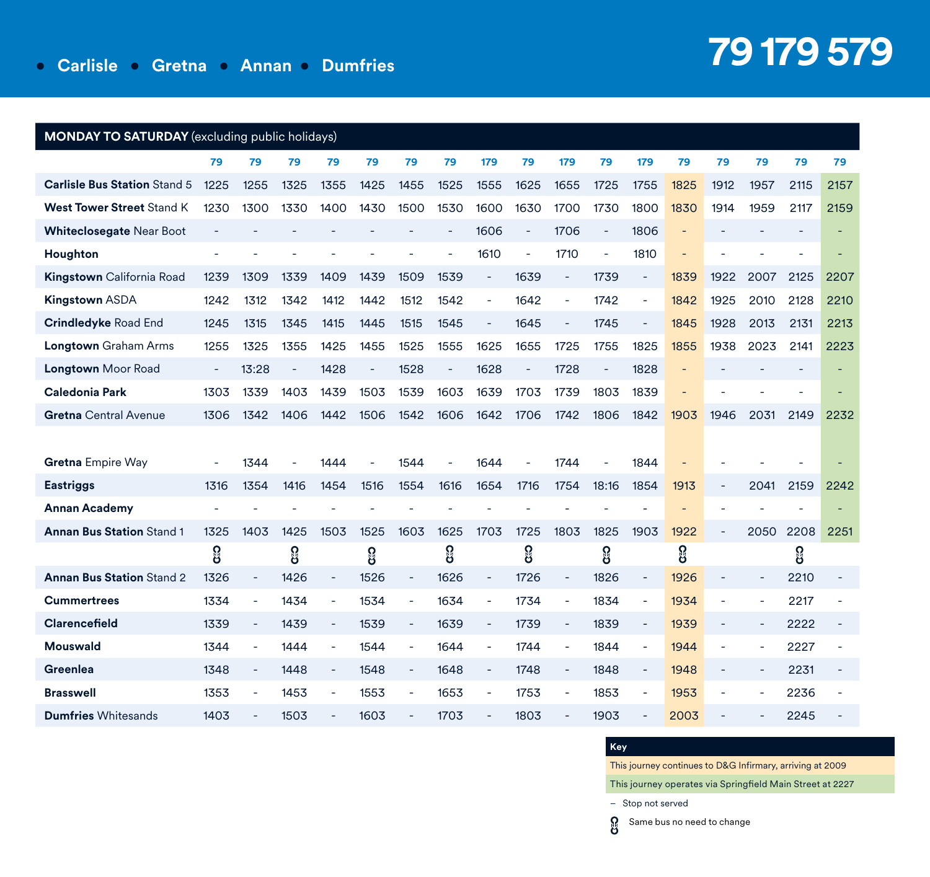| <b>MONDAY TO SATURDAY</b> (excluding public holidays) |                          |                          |                |                |      |                          |      |                          |                          |                          |                          |                          |      |                          |                          |      |      |
|-------------------------------------------------------|--------------------------|--------------------------|----------------|----------------|------|--------------------------|------|--------------------------|--------------------------|--------------------------|--------------------------|--------------------------|------|--------------------------|--------------------------|------|------|
|                                                       | 79                       | 79                       | 79             | 79             | 79   | 79                       | 79   | 179                      | 79                       | 179                      | 79                       | 179                      | 79   | 79                       | 79                       | 79   | 79   |
| <b>Carlisle Bus Station Stand 5</b>                   | 1225                     | 1255                     | 1325           | 1355           | 1425 | 1455                     | 1525 | 1555                     | 1625                     | 1655                     | 1725                     | 1755                     | 1825 | 1912                     | 1957                     | 2115 | 2157 |
| <b>West Tower Street Stand K</b>                      | 1230                     | 1300                     | 1330           | 1400           | 1430 | 1500                     | 1530 | 1600                     | 1630                     | 1700                     | 1730                     | 1800                     | 1830 | 1914                     | 1959                     | 2117 | 2159 |
| Whiteclosegate Near Boot                              | ÷,                       |                          |                |                |      |                          | ÷,   | 1606                     | $\overline{\phantom{a}}$ | 1706                     | $\overline{\phantom{a}}$ | 1806                     |      |                          |                          |      |      |
| Houghton                                              | ä,                       |                          |                |                |      |                          |      | 1610                     | $\sim$                   | 1710                     |                          | 1810                     |      |                          |                          |      |      |
| <b>Kingstown</b> California Road                      | 1239                     | 1309                     | 1339           | 1409           | 1439 | 1509                     | 1539 | ÷,                       | 1639                     | $\overline{\phantom{a}}$ | 1739                     | $\overline{\phantom{a}}$ | 1839 | 1922                     | 2007                     | 2125 | 2207 |
| <b>Kingstown ASDA</b>                                 | 1242                     | 1312                     | 1342           | 1412           | 1442 | 1512                     | 1542 | ä,                       | 1642                     | $\sim$                   | 1742                     | ä,                       | 1842 | 1925                     | 2010                     | 2128 | 2210 |
| <b>Crindledyke Road End</b>                           | 1245                     | 1315                     | 1345           | 1415           | 1445 | 1515                     | 1545 | $\overline{\phantom{a}}$ | 1645                     | $\overline{\phantom{a}}$ | 1745                     | $\overline{\phantom{a}}$ | 1845 | 1928                     | 2013                     | 2131 | 2213 |
| Longtown Graham Arms                                  | 1255                     | 1325                     | 1355           | 1425           | 1455 | 1525                     | 1555 | 1625                     | 1655                     | 1725                     | 1755                     | 1825                     | 1855 | 1938                     | 2023                     | 2141 | 2223 |
| <b>Longtown Moor Road</b>                             | $\overline{\phantom{a}}$ | 13:28                    | $\overline{a}$ | 1428           | ä,   | 1528                     | L.   | 1628                     | ÷,                       | 1728                     | $\sim$                   | 1828                     |      |                          |                          |      |      |
| <b>Caledonia Park</b>                                 | 1303                     | 1339                     | 1403           | 1439           | 1503 | 1539                     | 1603 | 1639                     | 1703                     | 1739                     | 1803                     | 1839                     |      |                          |                          |      |      |
| <b>Gretna</b> Central Avenue                          | 1306                     | 1342                     | 1406           | 1442           | 1506 | 1542                     | 1606 | 1642                     | 1706                     | 1742                     | 1806                     | 1842                     | 1903 | 1946                     | 2031                     | 2149 | 2232 |
|                                                       |                          |                          |                |                |      |                          |      |                          |                          |                          |                          |                          |      |                          |                          |      |      |
| <b>Gretna Empire Way</b>                              | ä,                       | 1344                     |                | 1444           |      | 1544                     |      | 1644                     |                          | 1744                     |                          | 1844                     |      |                          |                          |      |      |
| <b>Eastriggs</b>                                      | 1316                     | 1354                     | 1416           | 1454           | 1516 | 1554                     | 1616 | 1654                     | 1716                     | 1754                     | 18:16                    | 1854                     | 1913 | ÷,                       | 2041                     | 2159 | 2242 |
| <b>Annan Academy</b>                                  |                          |                          |                |                |      |                          |      |                          |                          |                          |                          |                          |      |                          |                          |      |      |
| <b>Annan Bus Station Stand 1</b>                      | 1325                     | 1403                     | 1425           | 1503           | 1525 | 1603                     | 1625 | 1703                     | 1725                     | 1803                     | 1825                     | 1903                     | 1922 | ÷,                       | 2050                     | 2208 | 2251 |
|                                                       | 8                        |                          | ႙ၟ             |                | စ္မ  |                          | ႙ၟ   |                          | ဨၟ                       |                          | ႙ၟ                       |                          | ဨၟ   |                          |                          | ႙ၟ   |      |
| <b>Annan Bus Station Stand 2</b>                      | 1326                     |                          | 1426           |                | 1526 | $\blacksquare$           | 1626 | ÷,                       | 1726                     | $\overline{\phantom{a}}$ | 1826                     | $\overline{\phantom{a}}$ | 1926 |                          |                          | 2210 |      |
| <b>Cummertrees</b>                                    | 1334                     | $\overline{\phantom{a}}$ | 1434           | ÷,             | 1534 | ÷,                       | 1634 | ÷,                       | 1734                     | $\overline{\phantom{a}}$ | 1834                     | $\overline{\phantom{a}}$ | 1934 | ä,                       | $\overline{\phantom{a}}$ | 2217 |      |
| <b>Clarencefield</b>                                  | 1339                     | $\overline{\phantom{a}}$ | 1439           | $\blacksquare$ | 1539 | $\bar{\phantom{a}}$      | 1639 | $\overline{\phantom{a}}$ | 1739                     | $\bar{a}$                | 1839                     | $\blacksquare$           | 1939 | ÷,                       | $\blacksquare$           | 2222 |      |
| <b>Mouswald</b>                                       | 1344                     |                          | 1444           |                | 1544 | ÷.                       | 1644 | ÷,                       | 1744                     | $\sim$                   | 1844                     | $\blacksquare$           | 1944 | ÷,                       |                          | 2227 |      |
| Greenlea                                              | 1348                     | $\blacksquare$           | 1448           | $\blacksquare$ | 1548 | $\overline{\phantom{a}}$ | 1648 | $\overline{\phantom{0}}$ | 1748                     | $\overline{\phantom{a}}$ | 1848                     | $\overline{\phantom{a}}$ | 1948 | $\overline{\phantom{a}}$ | $\blacksquare$           | 2231 |      |
| <b>Brasswell</b>                                      | 1353                     |                          | 1453           |                | 1553 | ä,                       | 1653 |                          | 1753                     | $\overline{a}$           | 1853                     | $\overline{a}$           | 1953 |                          |                          | 2236 |      |
| <b>Dumfries Whitesands</b>                            | 1403                     |                          | 1503           |                | 1603 |                          | 1703 |                          | 1803                     |                          | 1903                     |                          | 2003 |                          |                          | 2245 |      |

### **Key**

This journey continues to D&G Infirmary, arriving at 2009

This journey operates via Springfield Main Street at 2227

– Stop not served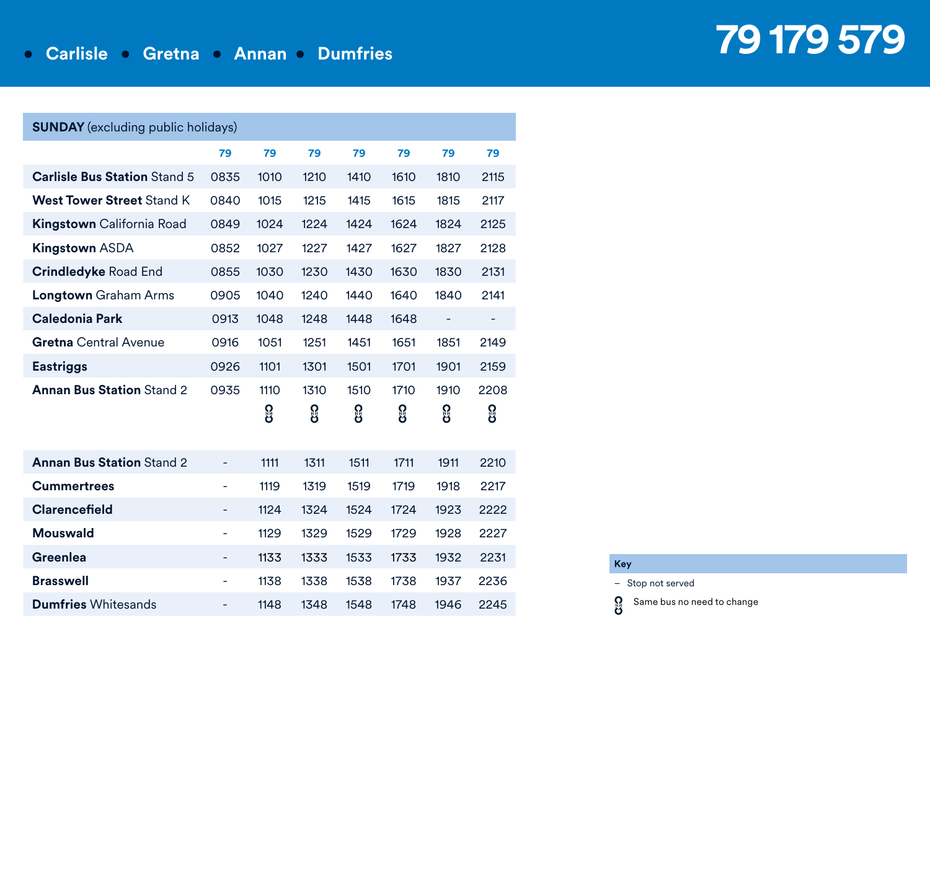| <b>SUNDAY</b> (excluding public holidays) |                          |            |            |            |            |            |            |
|-------------------------------------------|--------------------------|------------|------------|------------|------------|------------|------------|
|                                           | 79                       | 79         | 79         | 79         | 79         | 79         | 79         |
| <b>Carlisle Bus Station Stand 5</b>       | 0835                     | 1010       | 1210       | 1410       | 1610       | 1810       | 2115       |
| <b>West Tower Street Stand K</b>          | 0840                     | 1015       | 1215       | 1415       | 1615       | 1815       | 2117       |
| <b>Kingstown</b> California Road          | 0849                     | 1024       | 1224       | 1424       | 1624       | 1824       | 2125       |
| Kingstown ASDA                            | 0852                     | 1027       | 1227       | 1427       | 1627       | 1827       | 2128       |
| <b>Crindledyke Road End</b>               | 0855                     | 1030       | 1230       | 1430       | 1630       | 1830       | 2131       |
| <b>Longtown</b> Graham Arms               | 0905                     | 1040       | 1240       | 1440       | 1640       | 1840       | 2141       |
| <b>Caledonia Park</b>                     | 0913                     | 1048       | 1248       | 1448       | 1648       | -          |            |
| <b>Gretna</b> Central Avenue              | 0916                     | 1051       | 1251       | 1451       | 1651       | 1851       | 2149       |
| <b>Eastriggs</b>                          | 0926                     | 1101       | 1301       | 1501       | 1701       | 1901       | 2159       |
| <b>Annan Bus Station Stand 2</b>          | 0935                     | 1110<br>႘ၟ | 1310<br>ဨၟ | 1510<br>႘ၟ | 1710<br>႘ၟ | 1910<br>႙ၟ | 2208<br>႙ၟ |
|                                           |                          |            |            |            |            |            |            |
| <b>Annan Bus Station Stand 2</b>          | -                        | 1111       | 1311       | 1511       | 1711       | 1911       | 2210       |
| <b>Cummertrees</b>                        | $\overline{\phantom{a}}$ | 1119       | 1319       | 1519       | 1719       | 1918       | 2217       |
| Clarencefield                             | -                        | 1124       | 1324       | 1524       | 1724       | 1923       | 2222       |
| <b>Mouswald</b>                           | $\overline{\phantom{m}}$ | 1129       | 1329       | 1529       | 1729       | 1928       | 2227       |
| Greenlea                                  | -                        | 1133       | 1333       | 1533       | 1733       | 1932       | 2231       |
| <b>Brasswell</b>                          | $\overline{\phantom{m}}$ | 1138       | 1338       | 1538       | 1738       | 1937       | 2236       |
| <b>Dumfries</b> Whitesands                | -                        | 1148       | 1348       | 1548       | 1748       | 1946       | 2245       |

### **Key**

ရွ

– Stop not served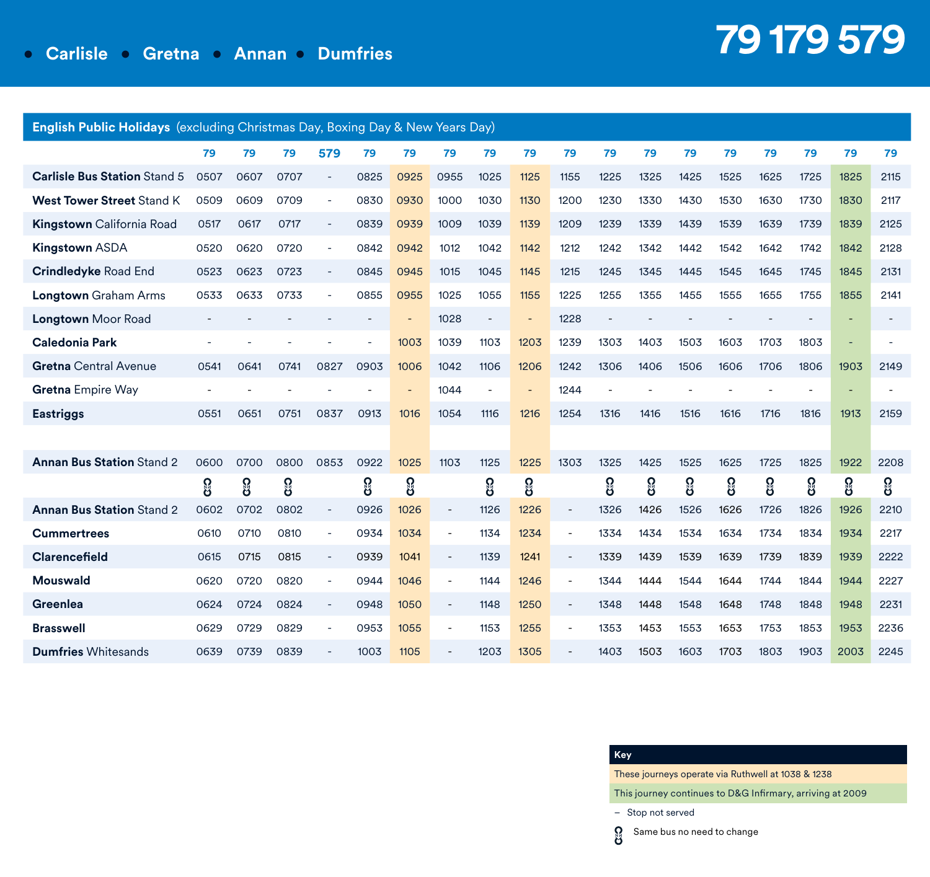| <b>English Public Holidays</b> (excluding Christmas Day, Boxing Day & New Years Day) |      |      |      |      |      |                |                          |      |                |                          |      |      |      |      |      |      |      |      |
|--------------------------------------------------------------------------------------|------|------|------|------|------|----------------|--------------------------|------|----------------|--------------------------|------|------|------|------|------|------|------|------|
|                                                                                      | 79   | 79   | 79   | 579  | 79   | 79             | 79                       | 79   | 79             | 79                       | 79   | 79   | 79   | 79   | 79   | 79   | 79   | 79   |
| <b>Carlisle Bus Station Stand 5</b>                                                  | 0507 | 0607 | 0707 |      | 0825 | 0925           | 0955                     | 1025 | 1125           | 1155                     | 1225 | 1325 | 1425 | 1525 | 1625 | 1725 | 1825 | 2115 |
| <b>West Tower Street Stand K</b>                                                     | 0509 | 0609 | 0709 |      | 0830 | 0930           | 1000                     | 1030 | 1130           | 1200                     | 1230 | 1330 | 1430 | 1530 | 1630 | 1730 | 1830 | 2117 |
| <b>Kingstown</b> California Road                                                     | 0517 | 0617 | 0717 |      | 0839 | 0939           | 1009                     | 1039 | 1139           | 1209                     | 1239 | 1339 | 1439 | 1539 | 1639 | 1739 | 1839 | 2125 |
| <b>Kingstown ASDA</b>                                                                | 0520 | 0620 | 0720 | ٠    | 0842 | 0942           | 1012                     | 1042 | 1142           | 1212                     | 1242 | 1342 | 1442 | 1542 | 1642 | 1742 | 1842 | 2128 |
| <b>Crindledyke Road End</b>                                                          | 0523 | 0623 | 0723 |      | 0845 | 0945           | 1015                     | 1045 | 1145           | 1215                     | 1245 | 1345 | 1445 | 1545 | 1645 | 1745 | 1845 | 2131 |
| <b>Longtown</b> Graham Arms                                                          | 0533 | 0633 | 0733 |      | 0855 | 0955           | 1025                     | 1055 | 1155           | 1225                     | 1255 | 1355 | 1455 | 1555 | 1655 | 1755 | 1855 | 2141 |
| <b>Longtown</b> Moor Road                                                            |      |      |      |      |      |                | 1028                     |      | $\overline{a}$ | 1228                     |      |      |      |      |      |      |      |      |
| <b>Caledonia Park</b>                                                                |      |      |      |      |      | 1003           | 1039                     | 1103 | 1203           | 1239                     | 1303 | 1403 | 1503 | 1603 | 1703 | 1803 |      |      |
| <b>Gretna</b> Central Avenue                                                         | 0541 | 0641 | 0741 | 0827 | 0903 | 1006           | 1042                     | 1106 | 1206           | 1242                     | 1306 | 1406 | 1506 | 1606 | 1706 | 1806 | 1903 | 2149 |
| Gretna Empire Way                                                                    |      |      |      |      |      | $\overline{a}$ | 1044                     |      |                | 1244                     |      |      |      |      |      |      |      |      |
| <b>Eastriggs</b>                                                                     | 0551 | 0651 | 0751 | 0837 | 0913 | 1016           | 1054                     | 1116 | 1216           | 1254                     | 1316 | 1416 | 1516 | 1616 | 1716 | 1816 | 1913 | 2159 |
|                                                                                      |      |      |      |      |      |                |                          |      |                |                          |      |      |      |      |      |      |      |      |
| <b>Annan Bus Station Stand 2</b>                                                     | 0600 | 0700 | 0800 | 0853 | 0922 | 1025           | 1103                     | 1125 | 1225           | 1303                     | 1325 | 1425 | 1525 | 1625 | 1725 | 1825 | 1922 | 2208 |
|                                                                                      | ႙ၟ   | ဨၟ   | ႙ၟ   |      | ဨၟ   | 8              |                          | ႙ၟ   | ဨၟ             |                          | ႙ၟ   | ဨၟ   | ဨၟ   | ႙ၟ   | ဨၟ   | ဨၟ   | ဨၟ   | ႙ၟ   |
| <b>Annan Bus Station Stand 2</b>                                                     | 0602 | 0702 | 0802 |      | 0926 | 1026           | $\overline{\phantom{0}}$ | 1126 | 1226           | $\overline{\phantom{a}}$ | 1326 | 1426 | 1526 | 1626 | 1726 | 1826 | 1926 | 2210 |
| <b>Cummertrees</b>                                                                   | 0610 | 0710 | 0810 | ÷    | 0934 | 1034           |                          | 1134 | 1234           | $\overline{\phantom{a}}$ | 1334 | 1434 | 1534 | 1634 | 1734 | 1834 | 1934 | 2217 |
| Clarencefield                                                                        | 0615 | 0715 | 0815 |      | 0939 | 1041           |                          | 1139 | 1241           | $\overline{\phantom{a}}$ | 1339 | 1439 | 1539 | 1639 | 1739 | 1839 | 1939 | 2222 |
| Mouswald                                                                             | 0620 | 0720 | 0820 |      | 0944 | 1046           |                          | 1144 | 1246           | $\overline{\phantom{a}}$ | 1344 | 1444 | 1544 | 1644 | 1744 | 1844 | 1944 | 2227 |
| Greenlea                                                                             | 0624 | 0724 | 0824 |      | 0948 | 1050           |                          | 1148 | 1250           | $\overline{\phantom{a}}$ | 1348 | 1448 | 1548 | 1648 | 1748 | 1848 | 1948 | 2231 |
| <b>Brasswell</b>                                                                     | 0629 | 0729 | 0829 |      | 0953 | 1055           |                          | 1153 | 1255           | $\overline{\phantom{a}}$ | 1353 | 1453 | 1553 | 1653 | 1753 | 1853 | 1953 | 2236 |
| <b>Dumfries Whitesands</b>                                                           | 0639 | 0739 | 0839 |      | 1003 | 1105           |                          | 1203 | 1305           |                          | 1403 | 1503 | 1603 | 1703 | 1803 | 1903 | 2003 | 2245 |

### **Key**

ရွ

These journeys operate via Ruthwell at 1038 & 1238

This journey continues to D&G Infirmary, arriving at 2009

– Stop not served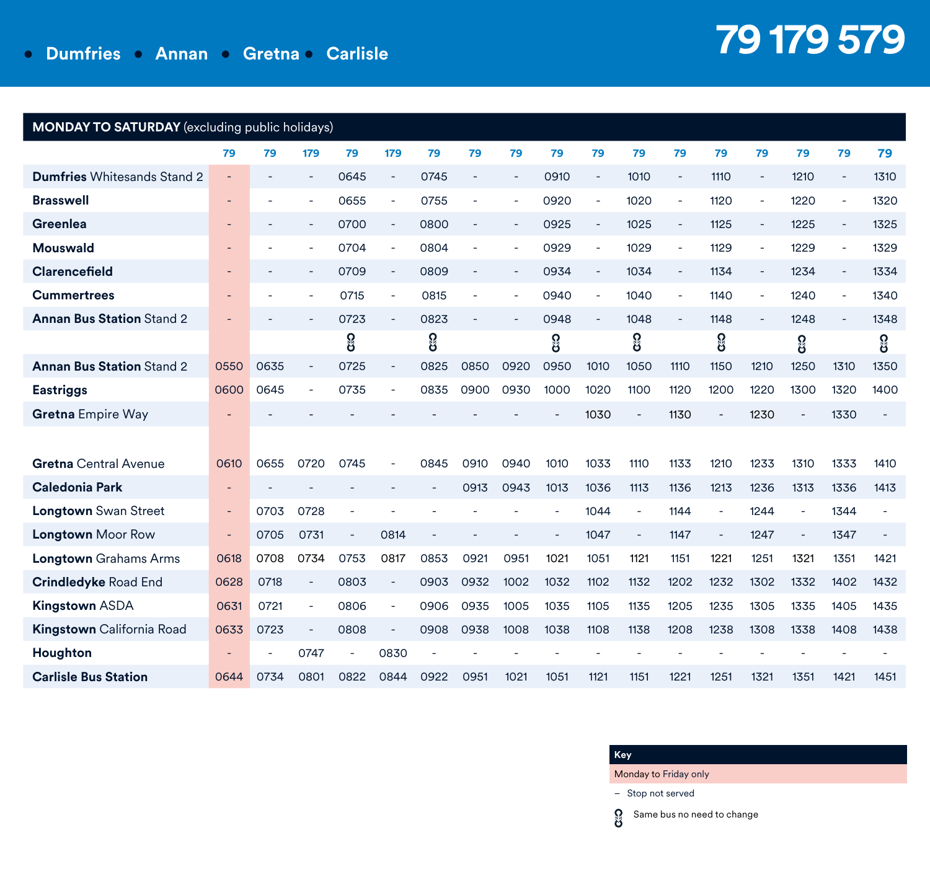## **• Dumfries • Annan • Gretna • Carlisle**

# **79 179 579**

| MONDAY TO SATURDAY (excluding public holidays) |                          |      |                          |      |                          |      |                          |                          |      |                          |                          |                          |      |                          |      |                          |      |
|------------------------------------------------|--------------------------|------|--------------------------|------|--------------------------|------|--------------------------|--------------------------|------|--------------------------|--------------------------|--------------------------|------|--------------------------|------|--------------------------|------|
|                                                | 79                       | 79   | 179                      | 79   | 179                      | 79   | 79                       | 79                       | 79   | 79                       | 79                       | 79                       | 79   | 79                       | 79   | 79                       | 79   |
| <b>Dumfries Whitesands Stand 2</b>             | $\blacksquare$           |      | $\overline{\phantom{a}}$ | 0645 | $\sim$                   | 0745 |                          |                          | 0910 |                          | 1010                     | $\overline{\phantom{a}}$ | 1110 | $\blacksquare$           | 1210 | $\overline{\phantom{a}}$ | 1310 |
| <b>Brasswell</b>                               | $\overline{\phantom{a}}$ |      | $\overline{\phantom{a}}$ | 0655 | $\overline{\phantom{a}}$ | 0755 |                          |                          | 0920 |                          | 1020                     | ٠                        | 1120 |                          | 1220 | $\sim$                   | 1320 |
| Greenlea                                       | $\overline{\phantom{a}}$ |      | $\overline{\phantom{a}}$ | 0700 | $\overline{\phantom{a}}$ | 0800 | $\overline{\phantom{a}}$ | $\overline{\phantom{a}}$ | 0925 | $\overline{\phantom{a}}$ | 1025                     | $\overline{\phantom{a}}$ | 1125 | $\overline{\phantom{a}}$ | 1225 | $\overline{\phantom{a}}$ | 1325 |
| <b>Mouswald</b>                                | $\overline{\phantom{a}}$ |      | $\overline{\phantom{a}}$ | 0704 | $\overline{\phantom{a}}$ | 0804 |                          |                          | 0929 |                          | 1029                     | $\overline{\phantom{a}}$ | 1129 |                          | 1229 |                          | 1329 |
| <b>Clarencefield</b>                           | ٠                        |      | $\blacksquare$           | 0709 | $\overline{\phantom{a}}$ | 0809 | $\sim$                   |                          | 0934 | $\overline{\phantom{a}}$ | 1034                     | $\blacksquare$           | 1134 | $\overline{\phantom{a}}$ | 1234 | $\overline{\phantom{a}}$ | 1334 |
| <b>Cummertrees</b>                             |                          |      | $\overline{\phantom{a}}$ | 0715 | $\overline{\phantom{a}}$ | 0815 |                          |                          | 0940 |                          | 1040                     |                          | 1140 |                          | 1240 |                          | 1340 |
| <b>Annan Bus Station Stand 2</b>               |                          |      |                          | 0723 | $\overline{\phantom{a}}$ | 0823 |                          |                          | 0948 |                          | 1048                     | $\blacksquare$           | 1148 |                          | 1248 |                          | 1348 |
|                                                |                          |      |                          | ႙ၟ   |                          | ႙ၟ   |                          |                          | ဖွ   |                          | ဨၟ                       |                          | ဨၟ   |                          | ႙ၟ   |                          | ဨၟ   |
| <b>Annan Bus Station Stand 2</b>               | 0550                     | 0635 |                          | 0725 |                          | 0825 | 0850                     | 0920                     | 0950 | 1010                     | 1050                     | 1110                     | 1150 | 1210                     | 1250 | 1310                     | 1350 |
| <b>Eastriggs</b>                               | 0600                     | 0645 | $\overline{\phantom{a}}$ | 0735 |                          | 0835 | 0900                     | 0930                     | 1000 | 1020                     | 1100                     | 1120                     | 1200 | 1220                     | 1300 | 1320                     | 1400 |
| <b>Gretna Empire Way</b>                       |                          |      |                          |      |                          |      |                          |                          |      | 1030                     | $\blacksquare$           | 1130                     |      | 1230                     |      | 1330                     |      |
|                                                |                          |      |                          |      |                          |      |                          |                          |      |                          |                          |                          |      |                          |      |                          |      |
| <b>Gretna</b> Central Avenue                   | 0610                     | 0655 | 0720                     | 0745 |                          | 0845 | 0910                     | 0940                     | 1010 | 1033                     | 1110                     | 1133                     | 1210 | 1233                     | 1310 | 1333                     | 1410 |
| <b>Caledonia Park</b>                          | ٠                        |      |                          |      |                          |      | 0913                     | 0943                     | 1013 | 1036                     | 1113                     | 1136                     | 1213 | 1236                     | 1313 | 1336                     | 1413 |
| <b>Longtown</b> Swan Street                    | $\overline{\phantom{a}}$ | 0703 | 0728                     |      |                          |      |                          |                          |      | 1044                     | ÷,                       | 1144                     |      | 1244                     | ÷,   | 1344                     |      |
| <b>Longtown Moor Row</b>                       | $\overline{\phantom{a}}$ | 0705 | 0731                     |      | 0814                     |      |                          |                          |      | 1047                     | $\overline{\phantom{a}}$ | 1147                     |      | 1247                     | ÷    | 1347                     |      |
| <b>Longtown</b> Grahams Arms                   | 0618                     | 0708 | 0734                     | 0753 | 0817                     | 0853 | 0921                     | 0951                     | 1021 | 1051                     | 1121                     | 1151                     | 1221 | 1251                     | 1321 | 1351                     | 1421 |
| <b>Crindledyke Road End</b>                    | 0628                     | 0718 | $\overline{\phantom{m}}$ | 0803 | $\overline{\phantom{a}}$ | 0903 | 0932                     | 1002                     | 1032 | 1102                     | 1132                     | 1202                     | 1232 | 1302                     | 1332 | 1402                     | 1432 |
| <b>Kingstown ASDA</b>                          | 0631                     | 0721 | $\overline{\phantom{a}}$ | 0806 | $\overline{\phantom{a}}$ | 0906 | 0935                     | 1005                     | 1035 | 1105                     | 1135                     | 1205                     | 1235 | 1305                     | 1335 | 1405                     | 1435 |
| Kingstown California Road                      | 0633                     | 0723 |                          | 0808 |                          | 0908 | 0938                     | 1008                     | 1038 | 1108                     | 1138                     | 1208                     | 1238 | 1308                     | 1338 | 1408                     | 1438 |
| Houghton                                       |                          |      | 0747                     |      | 0830                     |      |                          |                          |      |                          |                          |                          |      |                          |      |                          |      |
| <b>Carlisle Bus Station</b>                    | 0644                     | 0734 | 0801                     | 0822 | 0844                     | 0922 | 0951                     | 1021                     | 1051 | 1121                     | 1151                     | 1221                     | 1251 | 1321                     | 1351 | 1421                     | 1451 |

### **Key**

Monday to Friday only

– Stop not served

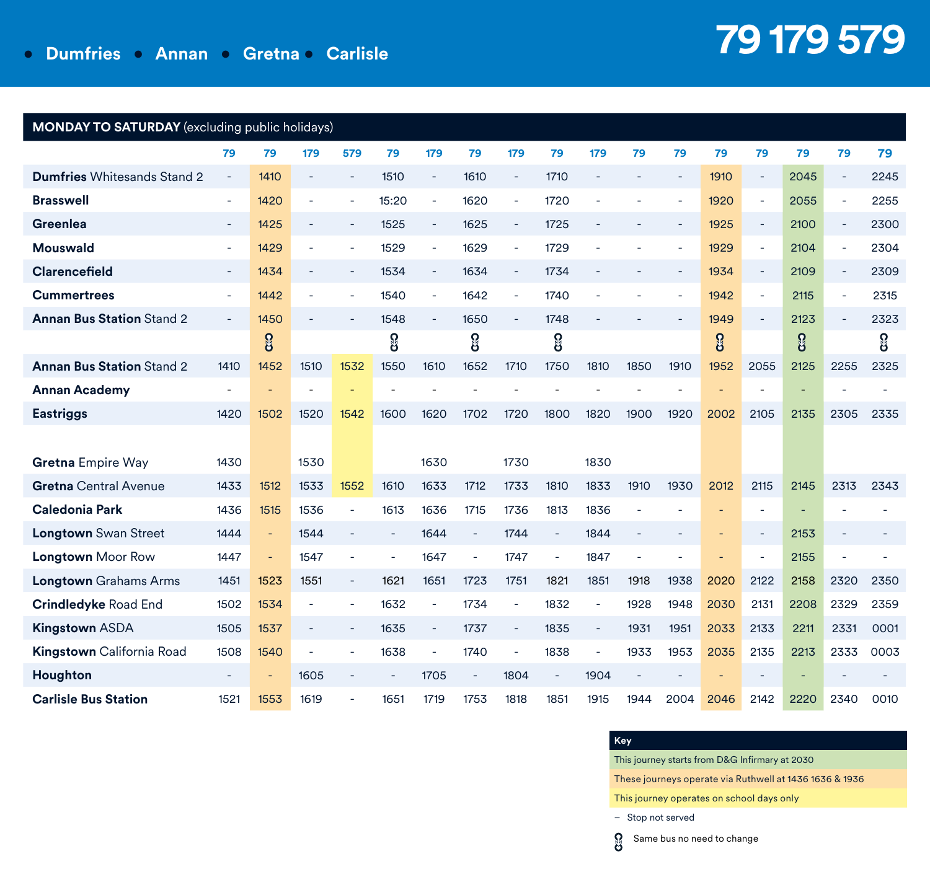## **• Dumfries • Annan • Gretna • Carlisle**

# **79 179 579**

| <b>MONDAY TO SATURDAY</b> (excluding public holidays) |                          |                          |                          |                |                |                          |           |                          |      |                          |      |                          |      |                          |      |      |      |
|-------------------------------------------------------|--------------------------|--------------------------|--------------------------|----------------|----------------|--------------------------|-----------|--------------------------|------|--------------------------|------|--------------------------|------|--------------------------|------|------|------|
|                                                       | 79                       | 79                       | 179                      | 579            | 79             | 179                      | 79        | 179                      | 79   | 179                      | 79   | 79                       | 79   | 79                       | 79   | 79   | 79   |
| <b>Dumfries Whitesands Stand 2</b>                    | $\overline{\phantom{a}}$ | 1410                     | $\overline{a}$           |                | 1510           | $\overline{\phantom{a}}$ | 1610      | L,                       | 1710 |                          |      |                          | 1910 | $\overline{\phantom{a}}$ | 2045 |      | 2245 |
| <b>Brasswell</b>                                      | $\overline{\phantom{a}}$ | 1420                     | ÷,                       |                | 15:20          | $\overline{\phantom{a}}$ | 1620      | $\overline{\phantom{a}}$ | 1720 |                          |      | $\overline{\phantom{a}}$ | 1920 | $\overline{\phantom{a}}$ | 2055 |      | 2255 |
| Greenlea                                              | $\overline{\phantom{a}}$ | 1425                     | $\blacksquare$           |                | 1525           | $\overline{\phantom{a}}$ | 1625      | L,                       | 1725 |                          |      |                          | 1925 | $\sim$                   | 2100 |      | 2300 |
| Mouswald                                              | $\sim$                   | 1429                     | ÷,                       |                | 1529           | $\overline{\phantom{a}}$ | 1629      | $\overline{\phantom{a}}$ | 1729 |                          |      |                          | 1929 | $\sim$                   | 2104 |      | 2304 |
| Clarencefield                                         | $\overline{\phantom{a}}$ | 1434                     | $\overline{\phantom{a}}$ |                | 1534           | $\overline{a}$           | 1634      |                          | 1734 |                          |      |                          | 1934 | $\overline{\phantom{a}}$ | 2109 |      | 2309 |
| <b>Cummertrees</b>                                    | $\sim$                   | 1442                     | ÷,                       |                | 1540           | $\overline{\phantom{a}}$ | 1642      | $\overline{\phantom{a}}$ | 1740 |                          |      |                          | 1942 | $\sim$                   | 2115 |      | 2315 |
| <b>Annan Bus Station Stand 2</b>                      | $\overline{\phantom{a}}$ | 1450                     |                          |                | 1548           |                          | 1650      |                          | 1748 |                          |      |                          | 1949 |                          | 2123 |      | 2323 |
|                                                       |                          | ဨၟ                       |                          |                | ႙ၟ             |                          | ဖွ        |                          | စ္မ  |                          |      |                          | ဨၟ   |                          | ဨၟ   |      | ႙ၟ   |
| <b>Annan Bus Station Stand 2</b>                      | 1410                     | 1452                     | 1510                     | 1532           | 1550           | 1610                     | 1652      | 1710                     | 1750 | 1810                     | 1850 | 1910                     | 1952 | 2055                     | 2125 | 2255 | 2325 |
| <b>Annan Academy</b>                                  | $\overline{a}$           |                          |                          |                |                |                          |           |                          |      |                          |      |                          |      |                          | ٠    |      |      |
| <b>Eastriggs</b>                                      | 1420                     | 1502                     | 1520                     | 1542           | 1600           | 1620                     | 1702      | 1720                     | 1800 | 1820                     | 1900 | 1920                     | 2002 | 2105                     | 2135 | 2305 | 2335 |
|                                                       |                          |                          |                          |                |                |                          |           |                          |      |                          |      |                          |      |                          |      |      |      |
| <b>Gretna Empire Way</b>                              | 1430                     |                          | 1530                     |                |                | 1630                     |           | 1730                     |      | 1830                     |      |                          |      |                          |      |      |      |
| <b>Gretna</b> Central Avenue                          | 1433                     | 1512                     | 1533                     | 1552           | 1610           | 1633                     | 1712      | 1733                     | 1810 | 1833                     | 1910 | 1930                     | 2012 | 2115                     | 2145 | 2313 | 2343 |
| <b>Caledonia Park</b>                                 | 1436                     | 1515                     | 1536                     |                | 1613           | 1636                     | 1715      | 1736                     | 1813 | 1836                     |      |                          |      |                          | Ē,   |      |      |
| <b>Longtown</b> Swan Street                           | 1444                     | ÷,                       | 1544                     |                | $\overline{a}$ | 1644                     | $\bar{a}$ | 1744                     |      | 1844                     | ÷,   |                          |      | $\overline{\phantom{a}}$ | 2153 |      |      |
| <b>Longtown Moor Row</b>                              | 1447                     | $\overline{\phantom{a}}$ | 1547                     |                |                | 1647                     | ÷,        | 1747                     |      | 1847                     |      |                          |      | ÷,                       | 2155 |      |      |
| <b>Longtown</b> Grahams Arms                          | 1451                     | 1523                     | 1551                     | $\overline{a}$ | 1621           | 1651                     | 1723      | 1751                     | 1821 | 1851                     | 1918 | 1938                     | 2020 | 2122                     | 2158 | 2320 | 2350 |
| <b>Crindledyke Road End</b>                           | 1502                     | 1534                     | ä,                       |                | 1632           | ÷,                       | 1734      |                          | 1832 | L,                       | 1928 | 1948                     | 2030 | 2131                     | 2208 | 2329 | 2359 |
| <b>Kingstown ASDA</b>                                 | 1505                     | 1537                     | $\overline{\phantom{a}}$ |                | 1635           | $\overline{\phantom{a}}$ | 1737      | $\overline{a}$           | 1835 | $\overline{\phantom{a}}$ | 1931 | 1951                     | 2033 | 2133                     | 2211 | 2331 | 0001 |
| Kingstown California Road                             | 1508                     | 1540                     |                          |                | 1638           |                          | 1740      |                          | 1838 |                          | 1933 | 1953                     | 2035 | 2135                     | 2213 | 2333 | 0003 |
| Houghton                                              |                          |                          | 1605                     |                |                | 1705                     | L,        | 1804                     |      | 1904                     |      |                          |      |                          |      |      |      |
| <b>Carlisle Bus Station</b>                           | 1521                     | 1553                     | 1619                     |                | 1651           | 1719                     | 1753      | 1818                     | 1851 | 1915                     | 1944 | 2004                     | 2046 | 2142                     | 2220 | 2340 | 0010 |

### **Key**

8

This journey starts from D&G Infirmary at 2030

These journeys operate via Ruthwell at 1436 1636 & 1936

This journey operates on school days only

– Stop not served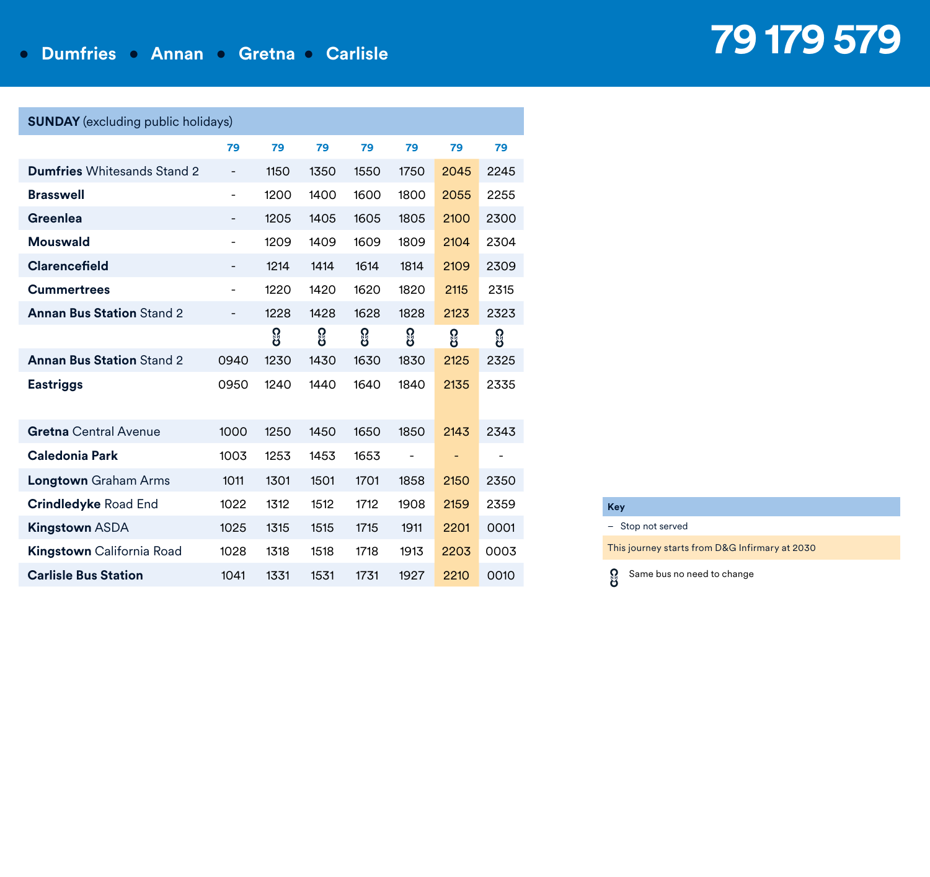### **• Dumfries • Annan • Gretna • Carlisle**

# **79 179 579**

| <b>SUNDAY</b> (excluding public holidays) |                              |      |      |      |                          |                          |      |  |  |  |  |  |  |
|-------------------------------------------|------------------------------|------|------|------|--------------------------|--------------------------|------|--|--|--|--|--|--|
|                                           | 79                           | 79   | 79   | 79   | 79                       | 79                       | 79   |  |  |  |  |  |  |
| <b>Dumfries</b> Whitesands Stand 2        | $\qquad \qquad \blacksquare$ | 1150 | 1350 | 1550 | 1750                     | 2045                     | 2245 |  |  |  |  |  |  |
| <b>Brasswell</b>                          | $\overline{a}$               | 1200 | 1400 | 1600 | 1800                     | 2055                     | 2255 |  |  |  |  |  |  |
| Greenlea                                  | $\qquad \qquad \blacksquare$ | 1205 | 1405 | 1605 | 1805                     | 2100                     | 2300 |  |  |  |  |  |  |
| <b>Mouswald</b>                           | $\overline{a}$               | 1209 | 1409 | 1609 | 1809                     | 2104                     | 2304 |  |  |  |  |  |  |
| Clarencefield                             | $\overline{a}$               | 1214 | 1414 | 1614 | 1814                     | 2109                     | 2309 |  |  |  |  |  |  |
| <b>Cummertrees</b>                        | $\overline{\phantom{0}}$     | 1220 | 1420 | 1620 | 1820                     | 2115                     | 2315 |  |  |  |  |  |  |
| <b>Annan Bus Station Stand 2</b>          | $\qquad \qquad \blacksquare$ | 1228 | 1428 | 1628 | 1828                     | 2123                     | 2323 |  |  |  |  |  |  |
|                                           |                              | ႙ၟ   | ႙ၟ   | ႙ၟ   | ဨၟ                       | ႙ၟ                       | ႙ၟ   |  |  |  |  |  |  |
| <b>Annan Bus Station Stand 2</b>          | 0940                         | 1230 | 1430 | 1630 | 1830                     | 2125                     | 2325 |  |  |  |  |  |  |
| <b>Eastriggs</b>                          | 0950                         | 1240 | 1440 | 1640 | 1840                     | 2135                     | 2335 |  |  |  |  |  |  |
| <b>Gretna</b> Central Avenue              | 1000                         | 1250 | 1450 | 1650 | 1850                     | 2143                     | 2343 |  |  |  |  |  |  |
| Caledonia Park                            | 1003                         | 1253 | 1453 | 1653 | $\overline{\phantom{0}}$ | $\overline{\phantom{0}}$ |      |  |  |  |  |  |  |
| <b>Longtown</b> Graham Arms               | 1011                         | 1301 | 1501 | 1701 | 1858                     | 2150                     | 2350 |  |  |  |  |  |  |
| <b>Crindledyke Road End</b>               | 1022                         | 1312 | 1512 | 1712 | 1908                     | 2159                     | 2359 |  |  |  |  |  |  |
| <b>Kingstown ASDA</b>                     | 1025                         | 1315 | 1515 | 1715 | 1911                     | 2201                     | 0001 |  |  |  |  |  |  |
| <b>Kingstown</b> California Road          | 1028                         | 1318 | 1518 | 1718 | 1913                     | 2203                     | 0003 |  |  |  |  |  |  |
| <b>Carlisle Bus Station</b>               | 1041                         | 1331 | 1531 | 1731 | 1927                     | 2210                     | 0010 |  |  |  |  |  |  |

| Key |                   |
|-----|-------------------|
|     | - Stop not served |
|     |                   |

This journey starts from D&G Infirmary at 2030



**Key**